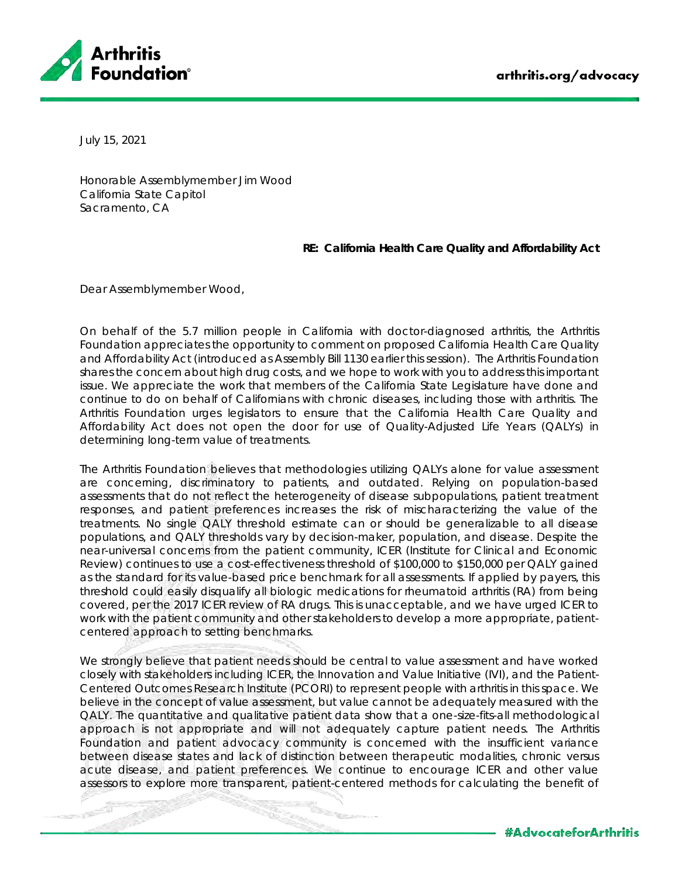

July 15, 2021

Honorable Assemblymember Jim Wood California State Capitol Sacramento, CA

**RE: California Health Care Quality and Affordability Act**

Dear Assemblymember Wood,

On behalf of the 5.7 million people in California with doctor-diagnosed arthritis, the Arthritis Foundation appreciates the opportunity to comment on proposed California Health Care Quality and Affordability Act (introduced as Assembly Bill 1130 earlier this session). The Arthritis Foundation shares the concern about high drug costs, and we hope to work with you to address this important issue. We appreciate the work that members of the California State Legislature have done and continue to do on behalf of Californians with chronic diseases, including those with arthritis. The Arthritis Foundation urges legislators to ensure that the California Health Care Quality and Affordability Act does not open the door for use of Quality-Adjusted Life Years (QALYs) in determining long-term value of treatments.

The Arthritis Foundation believes that methodologies utilizing QALYs alone for value assessment are concerning, discriminatory to patients, and outdated. Relying on population-based assessments that do not reflect the heterogeneity of disease subpopulations, patient treatment responses, and patient preferences increases the risk of mischaracterizing the value of the treatments. No single QALY threshold estimate can or should be generalizable to all disease populations, and QALY thresholds vary by decision-maker, population, and disease. Despite the near-universal concerns from the patient community, ICER (Institute for Clinical and Economic Review) continues to use a cost-effectiveness threshold of \$100,000 to \$150,000 per QALY gained as the standard for its value-based price benchmark for *all* assessments. If applied by payers, this threshold could easily disqualify all biologic medications for rheumatoid arthritis (RA) from being covered, per the 2017 ICER review of RA drugs. This is unacceptable, and we have urged ICER to work with the patient community and other stakeholders to develop a more appropriate, patientcentered approach to setting benchmarks.

We strongly believe that patient needs should be central to value assessment and have worked closely with stakeholders including ICER, the Innovation and Value Initiative (IVI), and the Patient-Centered Outcomes Research Institute (PCORI) to represent people with arthritis in this space. We believe in the concept of value assessment, but value cannot be adequately measured with the QALY. The quantitative and qualitative patient data show that a one-size-fits-all methodological approach is not appropriate and will not adequately capture patient needs. The Arthritis Foundation and patient advocacy community is concerned with the insufficient variance between disease states and lack of distinction between therapeutic modalities, chronic versus acute disease, and patient preferences. We continue to encourage ICER and other value assessors to explore more transparent, patient-centered methods for calculating the benefit of